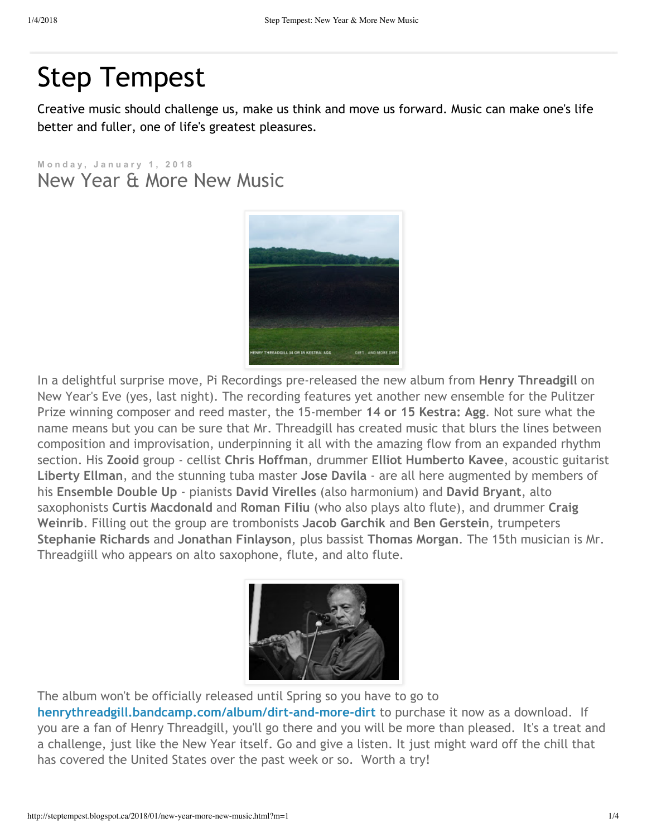## Step [Tempest](http://steptempest.blogspot.ca/?m=1)

Creative music should challenge us, make us think and move us forward. Music can make one's life better and fuller, one of life's greatest pleasures.

**M o n d a y , J a n u a r y 1 , 2 0 1 8** New Year & More New Music



In a delightful surprise move, Pi Recordings pre‐released the new album from **Henry Threadgill** on New Year's Eve (yes, last night). The recording features yet another new ensemble for the Pulitzer Prize winning composer and reed master, the 15‐member **14 or 15 Kestra: Agg**. Not sure what the name means but you can be sure that Mr. Threadgill has created music that blurs the lines between composition and improvisation, underpinning it all with the amazing flow from an expanded rhythm section. His **Zooid** group ‐ cellist **Chris Hoffman**, drummer **Elliot Humberto Kavee**, acoustic guitarist **Liberty Ellman**, and the stunning tuba master **Jose Davila** ‐ are all here augmented by members of his **Ensemble Double Up** ‐ pianists **David Virelles** (also harmonium) and **David Bryant**, alto saxophonists **Curtis Macdonald** and **Roman Filiu** (who also plays alto flute), and drummer **Craig Weinrib**. Filling out the group are trombonists **Jacob Garchik** and **Ben Gerstein**, trumpeters **Stephanie Richards** and **Jonathan Finlayson**, plus bassist **Thomas Morgan**. The 15th musician is Mr. Threadgiill who appears on alto saxophone, flute, and alto flute.



The album won't be officially released until Spring so you have to go to

**[henrythreadgill.bandcamp.com/album/dirt‐and‐more‐dirt](http://henrythreadgill.bandcamp.com/album/dirt-and-more-dirt)** to purchase it now as a download. If you are a fan of Henry Threadgill, you'll go there and you will be more than pleased. It's a treat and a challenge, just like the New Year itself. Go and give a listen. It just might ward off the chill that has covered the United States over the past week or so. Worth a try!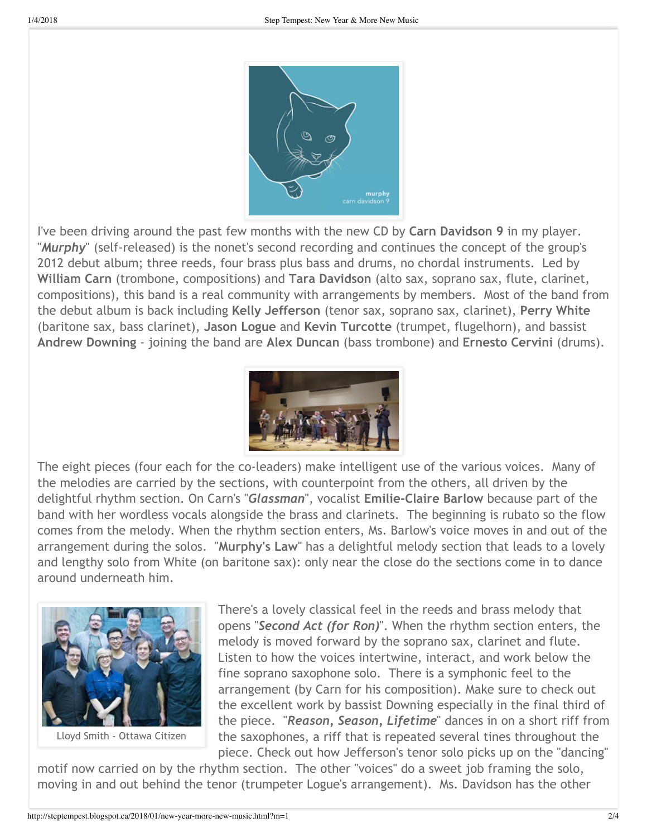

I've been driving around the past few months with the new CD by **Carn Davidson 9** in my player. "*Murphy*" (self‐released) is the nonet's second recording and continues the concept of the group's 2012 debut album; three reeds, four brass plus bass and drums, no chordal instruments. Led by **William Carn** (trombone, compositions) and **Tara Davidson** (alto sax, soprano sax, flute, clarinet, compositions), this band is a real community with arrangements by members. Most of the band from the debut album is back including **Kelly Jefferson** (tenor sax, soprano sax, clarinet), **Perry White** (baritone sax, bass clarinet), **Jason Logue** and **Kevin Turcotte** (trumpet, flugelhorn), and bassist **Andrew Downing** ‐ joining the band are **Alex Duncan** (bass trombone) and **Ernesto Cervini** (drums).



The eight pieces (four each for the co-leaders) make intelligent use of the various voices. Many of the melodies are carried by the sections, with counterpoint from the others, all driven by the delightful rhythm section. On Carn's "*Glassman*", vocalist **Emilie‐Claire Barlow** because part of the band with her wordless vocals alongside the brass and clarinets. The beginning is rubato so the flow comes from the melody. When the rhythm section enters, Ms. Barlow's voice moves in and out of the arrangement during the solos. "**Murphy's Law**" has a delightful melody section that leads to a lovely and lengthy solo from White (on baritone sax): only near the close do the sections come in to dance around underneath him.



Lloyd Smith ‐ Ottawa Citizen

There's a lovely classical feel in the reeds and brass melody that opens "*Second Act (for Ron)*". When the rhythm section enters, the melody is moved forward by the soprano sax, clarinet and flute. Listen to how the voices intertwine, interact, and work below the fine soprano saxophone solo. There is a symphonic feel to the arrangement (by Carn for his composition). Make sure to check out the excellent work by bassist Downing especially in the final third of the piece. "*Reason, Season, Lifetime*" dances in on a short riff from the saxophones, a riff that is repeated several tines throughout the piece. Check out how Jefferson's tenor solo picks up on the "dancing"

motif now carried on by the rhythm section. The other "voices" do a sweet job framing the solo, moving in and out behind the tenor (trumpeter Logue's arrangement). Ms. Davidson has the other